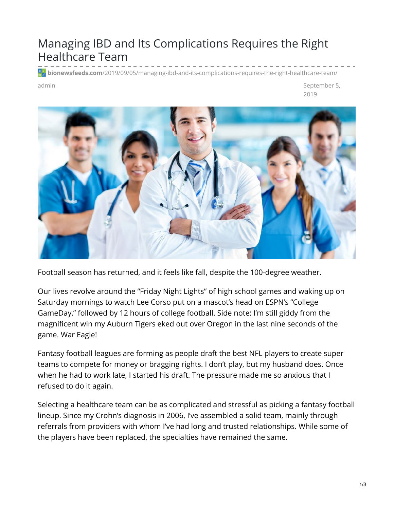## Managing IBD and Its Complications Requires the Right Healthcare Team

**bionewsfeeds.com**[/2019/09/05/managing-ibd-and-its-complications-requires-the-right-healthcare-team/](https://bionewsfeeds.com/2019/09/05/managing-ibd-and-its-complications-requires-the-right-healthcare-team/)

admin September 5, 2019



Football season has returned, and it feels like fall, despite the 100-degree weather.

Our lives revolve around the "Friday Night Lights" of high school games and waking up on Saturday mornings to watch Lee Corso put on a mascot's head on ESPN's "College GameDay," followed by 12 hours of college football. Side note: I'm still giddy from the magnificent win my Auburn Tigers eked out over Oregon in the last nine seconds of the game. War Eagle!

Fantasy football leagues are forming as people draft the best NFL players to create super teams to compete for money or bragging rights. I don't play, but my husband does. Once when he had to work late, I started his draft. The pressure made me so anxious that I refused to do it again.

Selecting a healthcare team can be as complicated and stressful as picking a fantasy football lineup. Since my Crohn's diagnosis in 2006, I've assembled a solid team, mainly through referrals from providers with whom I've had long and trusted relationships. While some of the players have been replaced, the specialties have remained the same.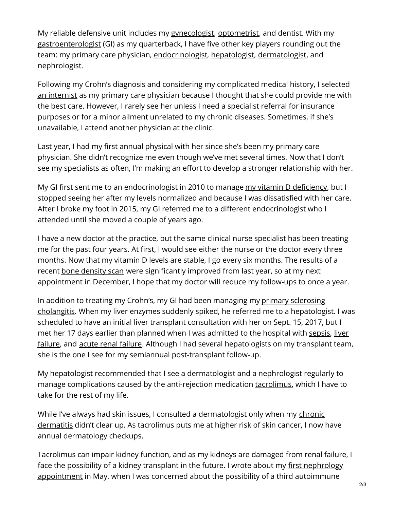My reliable defensive unit includes my [gynecologist](https://www.mayoclinic.org/departments-centers/gynecology/overview/ovc-20424065), [optometrist](https://aapos.org/glossary/difference-between-an-ophthalmologist-optometrist-and-optician), and dentist. With my [gastroenterologist](https://gi.org/patients/gi-health-and-disease/what-is-a-gastroenterologist/) (GI) as my quarterback, I have five other key players rounding out the team: my primary care physician, [endocrinologist](https://www.mayoclinic.org/departments-centers/endocrinology/sections/overview/ovc-20392506), [hepatologist](https://www.mayoclinic.org/departments-centers/hepatobiliary-clinic-hepatobiliary-clinic/overview/ovc-20357727), [dermatologist](https://www.abderm.org/public/what-is-a-dermatologist.aspx), and [nephrologist](https://www.davita.com/education/ckd-life/choosing-doctor/what-is-a-nephrologist).

Following my Crohn's diagnosis and considering my complicated medical history, I selected an [internist](https://www.acponline.org/about-acp/about-internal-medicine) as my primary care physician because I thought that she could provide me with the best care. However, I rarely see her unless I need a specialist referral for insurance purposes or for a minor ailment unrelated to my chronic diseases. Sometimes, if she's unavailable, I attend another physician at the clinic.

Last year, I had my first annual physical with her since she's been my primary care physician. She didn't recognize me even though we've met several times. Now that I don't see my specialists as often, I'm making an effort to develop a stronger relationship with her.

My GI first sent me to an endocrinologist in 2010 to manage my vitamin D [deficiency](https://ibdnewstoday.com/2019/07/18/bone-density-vitamin-d-transplant/), but I stopped seeing her after my levels normalized and because I was dissatisfied with her care. After I broke my foot in 2015, my GI referred me to a different endocrinologist who I attended until she moved a couple of years ago.

I have a new doctor at the practice, but the same clinical nurse specialist has been treating me for the past four years. At first, I would see either the nurse or the doctor every three months. Now that my vitamin D levels are stable, I go every six months. The results of a recent bone [density](https://www.mayoclinic.org/tests-procedures/bone-density-test/about/pac-20385273) scan were significantly improved from last year, so at my next appointment in December, I hope that my doctor will reduce my follow-ups to once a year.

In addition to treating my Crohn's, my GI had been managing my primary sclerosing [cholangitis.](https://liverfoundation.org/for-patients/about-the-liver/diseases-of-the-liver/primary-sclerosing-cholangitis/) When my liver enzymes suddenly spiked, he referred me to a hepatologist. I was scheduled to have an initial liver transplant consultation with her on Sept. 15, 2017, but I met her 17 days earlier than planned when I was admitted to the hospital with [sepsis](https://www.mayoclinic.org/diseases-conditions/sepsis/symptoms-causes/syc-20351214), liver failure, and acute renal [failure](https://www.mayoclinic.org/diseases-conditions/kidney-failure/symptoms-causes/syc-20369048). Although I had several [hepatologists](https://liverfoundation.org/for-patients/about-the-liver/the-progression-of-liver-disease/) on my transplant team, she is the one I see for my semiannual post-transplant follow-up.

My hepatologist recommended that I see a dermatologist and a nephrologist regularly to manage complications caused by the anti-rejection medication [tacrolimus](https://medlineplus.gov/druginfo/meds/a601117.html), which I have to take for the rest of my life.

While I've always had skin issues, I consulted a [dermatologist](https://www.mayoclinic.org/diseases-conditions/atopic-dermatitis-eczema/symptoms-causes/syc-20353273) only when my chronic dermatitis didn't clear up. As tacrolimus puts me at higher risk of skin cancer, I now have annual dermatology checkups.

Tacrolimus can impair kidney function, and as my kidneys are damaged from renal failure, I face the possibility of a kidney transplant in the future. I wrote about my first nephrology [appointment](https://ibdnewstoday.com/2019/05/02/ibd-related-diagnosis-youve-gotta-be-kidney-me-renal-effects/) in May, when I was concerned about the possibility of a third autoimmune